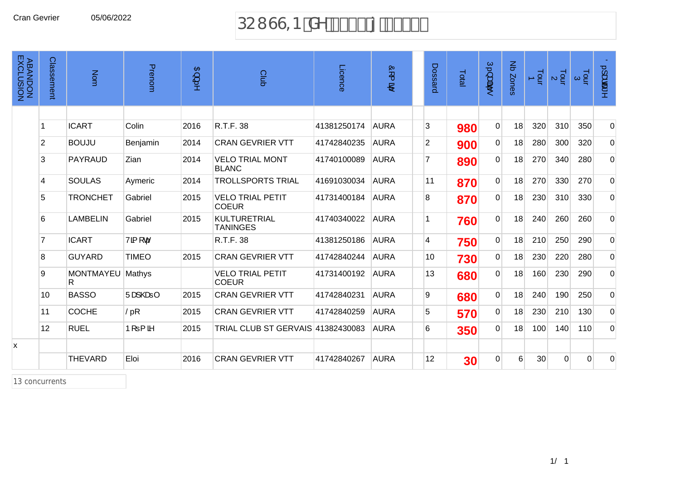# Cran Gevrier 05/06/2022 DCI GG=B XY &\$%( { &\$&&

| <b>ABANDON<br/>ABANDON</b> | Classement     | Nom             | Prenom                   | $\mathfrak{B}$ ) | Club                                    | Licence     | òr (<br>$\mathbf{B}^i$ | Dossard        | Total | Ú., a<br>te.   | $\Xi$<br>Zones | $\frac{1}{9}$ | $\frac{1}{2}$ | $\frac{1}{2}$ $\alpha$ | Ö. Jace^       |
|----------------------------|----------------|-----------------|--------------------------|------------------|-----------------------------------------|-------------|------------------------|----------------|-------|----------------|----------------|---------------|---------------|------------------------|----------------|
|                            |                |                 |                          |                  |                                         |             |                        |                |       |                |                |               |               |                        |                |
|                            | 1              | <b>ICART</b>    | Colin                    | 2016             | R.T.F. 38                               | 41381250174 | <b>AURA</b>            | 3              | 980   | $\overline{0}$ | 18             | 320           | 310           | 350                    | $\overline{0}$ |
|                            | $\overline{2}$ | <b>BOUJU</b>    | Benjamin                 | 2014             | <b>CRAN GEVRIER VTT</b>                 | 41742840235 | <b>AURA</b>            | $\overline{2}$ | 900   | $\overline{0}$ | 18             | 280           | 300           | 320                    | $\overline{0}$ |
|                            | 3              | PAYRAUD         | Zian                     | 2014             | <b>VELO TRIAL MONT</b><br><b>BLANC</b>  | 41740100089 | <b>AURA</b>            | $\overline{7}$ | 890   | $\overline{0}$ | 18             | 270           | 340           | 280                    | $\overline{0}$ |
|                            | 4              | <b>SOULAS</b>   | Aymeric                  | 2014             | <b>TROLLSPORTS TRIAL</b>                | 41691030034 | <b>AURA</b>            | 11             | 870   | $\overline{0}$ | 18             | 270           | 330           | 270                    | $\overline{0}$ |
|                            | 5              | <b>TRONCHET</b> | Gabriel                  | 2015             | <b>VELO TRIAL PETIT</b><br><b>COEUR</b> | 41731400184 | <b>AURA</b>            | 8              | 870   | $\overline{0}$ | 18             | 230           | 310           | 330                    | $\overline{0}$ |
|                            | 6              | <b>LAMBELIN</b> | Gabriel                  | 2015             | <b>KULTURETRIAL</b><br><b>TANINGES</b>  | 41740340022 | <b>AURA</b>            | $\overline{1}$ | 760   | $\overline{0}$ | 18             | 240           | 260           | 260                    | $\overline{0}$ |
|                            | 7              | <b>ICART</b>    | Vã [c                    |                  | R.T.F. 38                               | 41381250186 | <b>AURA</b>            | $\overline{4}$ | 750   | $\overline{0}$ | 18             | 210           | 250           | 290                    | $\overline{0}$ |
|                            | 8              | <b>GUYARD</b>   | <b>TIMEO</b>             | 2015             | <b>CRAN GEVRIER VTT</b>                 | 41742840244 | <b>AURA</b>            | 10             | 730   | $\overline{0}$ | 18             | 230           | 220           | 280                    | $\overline{0}$ |
|                            | 9              | MONTMAYEU<br>R. | Mathys                   |                  | <b>VELO TRIAL PETIT</b><br><b>COEUR</b> | 41731400192 | <b>AURA</b>            | 13             | 680   | $\overline{0}$ | 18             | 160           | 230           | 290                    | $\overline{0}$ |
|                            | 10             | <b>BASSO</b>    | Üæl@e⊨                   | 2015             | <b>CRAN GEVRIER VTT</b>                 | 41742840231 | <b>AURA</b>            | 9              | 680   | $\overline{0}$ | 18             | 240           | 190           | 250                    | $\overline{0}$ |
|                            | 11             | <b>COCHE</b>    | $\check{\mathsf{S}}$ . [ | 2015             | <b>CRAN GEVRIER VTT</b>                 | 41742840259 | <b>AURA</b>            | 5              | 570   | $\overline{0}$ | 18             | 230           | 210           | 130                    | $\overline{0}$ |
|                            | 12             | <b>RUEL</b>     | $P[ = \{$ $\delta$       | 2015             | TRIAL CLUB ST GERVAIS 41382430083       |             | <b>AURA</b>            | 6              | 350   | $\overline{0}$ | 18             | 100           | 140           | 110                    | $\overline{0}$ |
| x                          |                |                 |                          |                  |                                         |             |                        |                |       |                |                |               |               |                        |                |
|                            |                | <b>THEVARD</b>  | Eloi                     | 2016             | <b>CRAN GEVRIER VTT</b>                 | 41742840267 | <b>AURA</b>            | 12             | 30    | $\overline{0}$ | 6              | 30            | $\mathbf 0$   | $\Omega$               | 0              |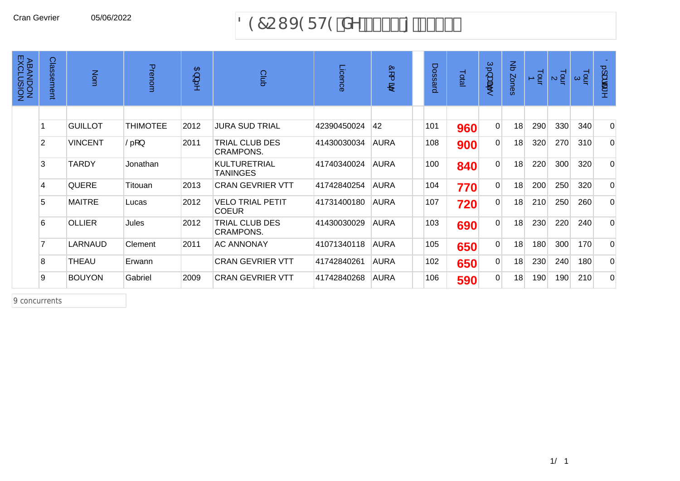#### Cran Gevrier 05/06/2022 897CI J 9F H9 'XY '% \$\$ { '&\$%

| <b>ABANDON<br/>ABANDON</b> | Classement | Nom            | Prenom                      | 召<br>ب<br>5 | Club                                    | Licence     | Ò<br>$\overline{\phantom{1}}$<br>B) | Dossard | Total | Ģ<br>سه<br>. वर्षके<br>to. | $\Xi$<br>Zones | $\frac{1}{2}$ | $\frac{1}{2}$ | $\frac{1}{9}$ $\approx$ | $\frac{1}{2}$<br>, සය ^ |
|----------------------------|------------|----------------|-----------------------------|-------------|-----------------------------------------|-------------|-------------------------------------|---------|-------|----------------------------|----------------|---------------|---------------|-------------------------|-------------------------|
|                            |            |                |                             |             |                                         |             |                                     |         |       |                            |                |               |               |                         |                         |
|                            |            | <b>GUILLOT</b> | <b>THIMOTEE</b>             | 2012        | <b>JURA SUD TRIAL</b>                   | 42390450024 | 42                                  | 101     | 960   | $\Omega$                   | 18             | 290           | 330           | 340                     | $\overline{0}$          |
|                            | 2          | <b>VINCENT</b> | $\check{\mathsf{S}}$ . [. ] | 2011        | TRIAL CLUB DES<br><b>CRAMPONS.</b>      | 41430030034 | <b>AURA</b>                         | 108     | 900   | $\Omega$                   | 18             | 320           | 270           | 310                     | $\Omega$                |
|                            | 3          | <b>TARDY</b>   | Jonathan                    |             | <b>KULTURETRIAL</b><br><b>TANINGES</b>  | 41740340024 | <b>AURA</b>                         | 100     | 840   | $\overline{0}$             | 18             | 220           | 300           | 320                     | $\overline{0}$          |
|                            | 4          | <b>QUERE</b>   | Titouan                     | 2013        | <b>CRAN GEVRIER VTT</b>                 | 41742840254 | <b>AURA</b>                         | 104     | 770   | $\overline{0}$             | 18             | 200           | 250           | 320                     | $\overline{0}$          |
|                            | 5          | <b>MAITRE</b>  | Lucas                       | 2012        | <b>VELO TRIAL PETIT</b><br><b>COEUR</b> | 41731400180 | <b>AURA</b>                         | 107     | 720   | $\Omega$                   | 18             | 210           | 250           | 260                     | $\Omega$                |
|                            | 6          | <b>OLLIER</b>  | Jules                       | 2012        | TRIAL CLUB DES<br><b>CRAMPONS.</b>      | 41430030029 | <b>AURA</b>                         | 103     | 690   | $\overline{0}$             | 18             | 230           | 220           | 240                     | $\Omega$                |
|                            |            | LARNAUD        | Clement                     | 2011        | <b>AC ANNONAY</b>                       | 41071340118 | <b>AURA</b>                         | 105     | 650   | $\overline{0}$             | 18             | 180           | 300           | 170                     | $\overline{0}$          |
|                            | 8          | THEAU          | Erwann                      |             | <b>CRAN GEVRIER VTT</b>                 | 41742840261 | <b>AURA</b>                         | 102     | 650   | $\Omega$                   | 18             | 230           | 240           | 180                     | $\Omega$                |
|                            | 9          | <b>BOUYON</b>  | Gabriel                     | 2009        | <b>CRAN GEVRIER VTT</b>                 | 41742840268 | <b>AURA</b>                         | 106     | 590   | $\overline{0}$             | 18             | 190           | 190           | 210                     | $\overline{0}$          |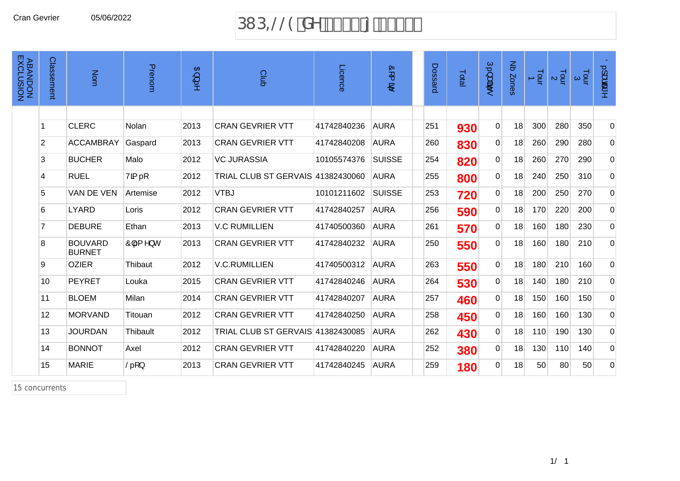#### Cran Gevrier 05/06/2022 **383, 1991 DI** D=@@9 XY &\$%& { &\$%

| <b>ABANDON<br/>ABANDON</b> | Classement     | Nom                             | Prenom                     | $\mathfrak{B}$ ) | Club                              | Licence     | òr (<br>$\mathbf{B}^i$ | Dossard | Total | Ú.}a#ā.<br>to. | Nb Zones | $\frac{1}{2}$ | $\frac{1}{2}$ $\alpha$ | $\frac{1}{2}$ $\alpha$ | $0.1$ ææ"<br>$\geq$ |
|----------------------------|----------------|---------------------------------|----------------------------|------------------|-----------------------------------|-------------|------------------------|---------|-------|----------------|----------|---------------|------------------------|------------------------|---------------------|
|                            |                |                                 |                            |                  |                                   |             |                        |         |       |                |          |               |                        |                        |                     |
|                            |                | <b>CLERC</b>                    | Nolan                      | 2013             | <b>CRAN GEVRIER VTT</b>           | 41742840236 | <b>AURA</b>            | 251     | 930   | $\overline{0}$ | 18       | 300           | 280                    | 350                    | $\overline{0}$      |
|                            | $\overline{2}$ | <b>ACCAMBRAY</b>                | Gaspard                    | 2013             | <b>CRAN GEVRIER VTT</b>           | 41742840208 | <b>AURA</b>            | 260     | 830   | $\Omega$       | 18       | 260           | 290                    | 280                    | $\overline{0}$      |
|                            | 3              | <b>BUCHER</b>                   | Malo                       | 2012             | <b>VC JURASSIA</b>                | 10105574376 | <b>SUISSE</b>          | 254     | 820   | $\overline{0}$ | 18       | 260           | 270                    | 290                    | $\overline{0}$      |
|                            | 4              | <b>RUEL</b>                     | Vã(…[                      | 2012             | TRIAL CLUB ST GERVAIS 41382430060 |             | <b>AURA</b>            | 255     | 800   | $\overline{0}$ | 18       | 240           | 250                    | 310                    | $\overline{0}$      |
|                            | 5              | VAN DE VEN                      | Artemise                   | 2012             | <b>VTBJ</b>                       | 10101211602 | <b>SUISSE</b>          | 253     | 720   | $\overline{0}$ | 18       | 200           | 250                    | 270                    | $\overline{0}$      |
|                            | 6              | <b>LYARD</b>                    | Loris                      | 2012             | <b>CRAN GEVRIER VTT</b>           | 41742840257 | <b>AURA</b>            | 256     | 590   | $\overline{0}$ | 18       | 170           | 220                    | 200                    | $\overline{0}$      |
|                            | $\overline{7}$ | <b>DEBURE</b>                   | Ethan                      | 2013             | <b>V.C RUMILLIEN</b>              | 41740500360 | <b>AURA</b>            | 261     | 570   | $\Omega$       | 18       | 160           | 180                    | 230                    | $\overline{0}$      |
|                            | 8              | <b>BOUVARD</b><br><b>BURNET</b> | $\hat{O}$  { ^} c          | 2013             | <b>CRAN GEVRIER VTT</b>           | 41742840232 | <b>AURA</b>            | 250     | 550   | $\overline{0}$ | 18       | 160           | 180                    | 210                    | $\overline{0}$      |
|                            | 9              | <b>OZIER</b>                    | Thibaut                    | 2012             | <b>V.C.RUMILLIEN</b>              | 41740500312 | <b>AURA</b>            | 263     | 550   | $\overline{0}$ | 18       | 180           | 210                    | 160                    | $\overline{0}$      |
|                            | 10             | PEYRET                          | Louka                      | 2015             | <b>CRAN GEVRIER VTT</b>           | 41742840246 | <b>AURA</b>            | 264     | 530   | $\overline{0}$ | 18       | 140           | 180                    | 210                    | $\Omega$            |
|                            | 11             | <b>BLOEM</b>                    | Milan                      | 2014             | <b>CRAN GEVRIER VTT</b>           | 41742840207 | <b>AURA</b>            | 257     | 460   | $\overline{0}$ | 18       | 150           | 160                    | 150                    | $\overline{0}$      |
|                            | 12             | <b>MORVAND</b>                  | Titouan                    | 2012             | <b>CRAN GEVRIER VTT</b>           | 41742840250 | <b>AURA</b>            | 258     | 450   | $\Omega$       | 18       | 160           | 160                    | 130                    | $\overline{0}$      |
|                            | 13             | <b>JOURDAN</b>                  | Thibault                   | 2012             | TRIAL CLUB ST GERVAIS 41382430085 |             | <b>AURA</b>            | 262     | 430   | $\overline{0}$ | 18       | 110           | 190                    | 130                    | $\overline{0}$      |
|                            | 14             | <b>BONNOT</b>                   | Axel                       | 2012             | <b>CRAN GEVRIER VTT</b>           | 41742840220 | <b>AURA</b>            | 252     | 380   | $\overline{0}$ | 18       | 130           | 110                    | 140                    | $\overline{0}$      |
|                            | 15             | <b>MARIE</b>                    | $\check{\mathsf{S}}$ . [ } | 2013             | <b>CRAN GEVRIER VTT</b>           | 41742840245 | <b>AURA</b>            | 259     | 180   | $\overline{0}$ | 18       | 50            | 80                     | 50                     | $\Omega$            |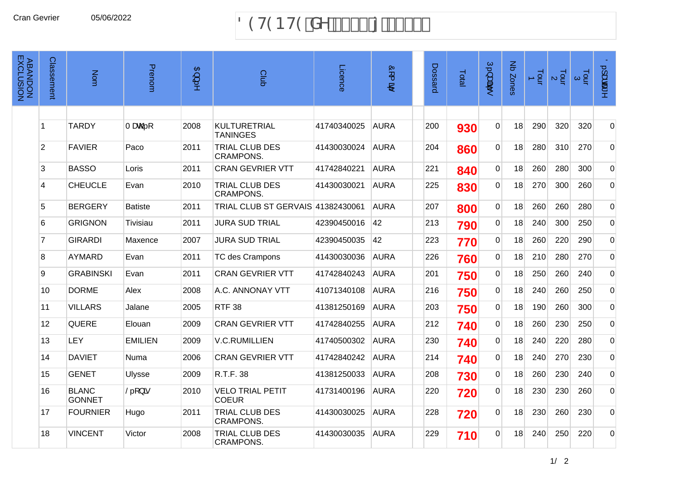#### 89H9BH9'XY'%\$\$'{'&\$%%'

| <b>ABANDON<br/>ABANDON</b> | Classement      | Nom                           | Prenom                         | $\mathfrak{B}$ ) | Club                                      | Licence     | òr (<br><b>图</b> | Dossard | Total | Ú.}a#ã.•        | Nb Zones | $\frac{1}{2}$ | $\frac{1}{2}$ | $\frac{1}{9}$ $\alpha$ | $0.1$ adat ^   |
|----------------------------|-----------------|-------------------------------|--------------------------------|------------------|-------------------------------------------|-------------|------------------|---------|-------|-----------------|----------|---------------|---------------|------------------------|----------------|
|                            |                 |                               |                                |                  |                                           |             |                  |         |       |                 |          |               |               |                        |                |
|                            | 1               | <b>TARDY</b>                  | Tæ@[                           | 2008             | <b>KULTURETRIAL</b><br><b>TANINGES</b>    | 41740340025 | <b>AURA</b>      | 200     | 930   | $\Omega$        | 18       | 290           | 320           | 320                    | $\overline{0}$ |
|                            | $\overline{2}$  | <b>FAVIER</b>                 | Paco                           | 2011             | TRIAL CLUB DES<br><b>CRAMPONS.</b>        | 41430030024 | <b>AURA</b>      | 204     | 860   | $\mathbf 0$     | 18       | 280           | 310           | 270                    | $\overline{0}$ |
|                            | 3               | <b>BASSO</b>                  | Loris                          | 2011             | <b>CRAN GEVRIER VTT</b>                   | 41742840221 | <b>AURA</b>      | 221     | 840   | 0               | 18       | 260           | 280           | 300                    | $\overline{0}$ |
|                            | 4               | <b>CHEUCLE</b>                | Evan                           | 2010             | <b>TRIAL CLUB DES</b><br><b>CRAMPONS.</b> | 41430030021 | <b>AURA</b>      | 225     | 830   | $\overline{0}$  | 18       | 270           | 300           | 260                    | $\overline{0}$ |
|                            | 5               | <b>BERGERY</b>                | <b>Batiste</b>                 | 2011             | TRIAL CLUB ST GERVAIS 41382430061         |             | <b>AURA</b>      | 207     | 800   | $\mathbf 0$     | 18       | 260           | 260           | 280                    | $\overline{0}$ |
|                            | 6               | <b>GRIGNON</b>                | Tivisiau                       | 2011             | <b>JURA SUD TRIAL</b>                     | 42390450016 | 42               | 213     | 790   | $\overline{0}$  | 18       | 240           | 300           | 250                    | $\overline{0}$ |
|                            | $\overline{7}$  | <b>GIRARDI</b>                | Maxence                        | 2007             | <b>JURA SUD TRIAL</b>                     | 42390450035 | 42               | 223     | 770   | $\vert 0 \vert$ | 18       | 260           | 220           | 290                    | $\overline{0}$ |
|                            | 8               | <b>AYMARD</b>                 | Evan                           | 2011             | <b>TC des Crampons</b>                    | 41430030036 | <b>AURA</b>      | 226     | 760   | $\overline{0}$  | 18       | 210           | 280           | 270                    | $\overline{0}$ |
|                            | 9               | <b>GRABINSKI</b>              | Evan                           | 2011             | <b>CRAN GEVRIER VTT</b>                   | 41742840243 | <b>AURA</b>      | 201     | 750   | $\overline{0}$  | 18       | 250           | 260           | 240                    | $\overline{0}$ |
|                            | 10 <sup>1</sup> | <b>DORME</b>                  | Alex                           | 2008             | A.C. ANNONAY VTT                          | 41071340108 | <b>AURA</b>      | 216     | 750   | $\Omega$        | 18       | 240           | 260           | 250                    | $\overline{0}$ |
|                            | 11              | <b>VILLARS</b>                | Jalane                         | 2005             | <b>RTF 38</b>                             | 41381250169 | <b>AURA</b>      | 203     | 750   | 0               | 18       | 190           | 260           | 300                    | $\overline{0}$ |
|                            | 12              | <b>QUERE</b>                  | Elouan                         | 2009             | <b>CRAN GEVRIER VTT</b>                   | 41742840255 | <b>AURA</b>      | 212     | 740   | 0               | 18       | 260           | 230           | 250                    | $\overline{0}$ |
|                            | 13              | <b>LEY</b>                    | <b>EMILIEN</b>                 | 2009             | <b>V.C.RUMILLIEN</b>                      | 41740500302 | <b>AURA</b>      | 230     | 740   | $\overline{0}$  | 18       | 240           | 220           | 280                    | $\overline{0}$ |
|                            | 14              | <b>DAVIET</b>                 | Numa                           | 2006             | <b>CRAN GEVRIER VTT</b>                   | 41742840242 | <b>AURA</b>      | 214     | 740   | $\overline{0}$  | 18       | 240           | 270           | 230                    | $\overline{0}$ |
|                            | 15              | <b>GENET</b>                  | <b>Ulysse</b>                  | 2009             | R.T.F. 38                                 | 41381250033 | <b>AURA</b>      | 208     | 730   | 0               | 18       | 260           | 230           | 240                    | $\overline{0}$ |
|                            | 16              | <b>BLANC</b><br><b>GONNET</b> | $\check{S}$ . [. } $\tilde{a}$ | 2010             | <b>VELO TRIAL PETIT</b><br><b>COEUR</b>   | 41731400196 | <b>AURA</b>      | 220     | 720   | $\Omega$        | 18       | 230           | 230           | 260                    | $\overline{0}$ |
|                            | 17              | <b>FOURNIER</b>               | Hugo                           | 2011             | TRIAL CLUB DES<br><b>CRAMPONS.</b>        | 41430030025 | <b>AURA</b>      | 228     | 720   | $\overline{0}$  | 18       | 230           | 260           | 230                    | $\overline{0}$ |
|                            | 18              | <b>VINCENT</b>                | Victor                         | 2008             | TRIAL CLUB DES<br><b>CRAMPONS.</b>        | 41430030035 | <b>AURA</b>      | 229     | 710   | $\mathbf 0$     | 18       | 240           | 250           | 220                    | $\mathbf 0$    |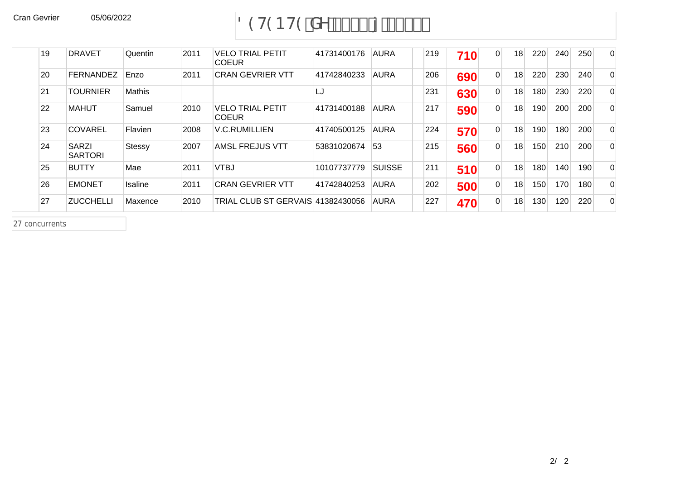# Cran Gevrier 05/06/2022 05/06/2022 89H9BH9 XY '% \$\$ { &\$%%

| 19 | <b>DRAVET</b>                  | Quentin       | 2011 | <b>VELO TRIAL PETIT</b><br><b>COEUR</b>  | 41731400176 | <b>AURA</b>   | 219 | 710 | $\Omega$       | 18 | 220 | 240 | 250 | $\overline{0}$ |
|----|--------------------------------|---------------|------|------------------------------------------|-------------|---------------|-----|-----|----------------|----|-----|-----|-----|----------------|
| 20 | <b>FERNANDEZ</b>               | Enzo          | 2011 | <b>CRAN GEVRIER VTT</b>                  | 41742840233 | <b>AURA</b>   | 206 | 690 | $\overline{0}$ | 18 | 220 | 230 | 240 | $\Omega$       |
| 21 | TOURNIER                       | Mathis        |      |                                          | LJ          |               | 231 | 630 | $\overline{0}$ | 18 | 180 | 230 | 220 | $\Omega$       |
| 22 | <b>MAHUT</b>                   | Samuel        | 2010 | <b>VELO TRIAL PETIT</b><br><b>COEUR</b>  | 41731400188 | <b>AURA</b>   | 217 | 590 | $\Omega$       | 18 | 190 | 200 | 200 | $\Omega$       |
| 23 | <b>COVAREL</b>                 | Flavien       | 2008 | <b>V.C.RUMILLIEN</b>                     | 41740500125 | <b>AURA</b>   | 224 | 570 | $\overline{0}$ | 18 | 190 | 180 | 200 | $\Omega$       |
| 24 | <b>SARZI</b><br><b>SARTORI</b> | <b>Stessy</b> | 2007 | <b>AMSL FREJUS VTT</b>                   | 53831020674 | 53            | 215 | 560 | $\Omega$       | 18 | 150 | 210 | 200 | $\Omega$       |
| 25 | <b>BUTTY</b>                   | Mae           | 2011 | <b>VTBJ</b>                              | 10107737779 | <b>SUISSE</b> | 211 | 510 | $\Omega$       | 18 | 180 | 140 | 190 | $\Omega$       |
| 26 | <b>EMONET</b>                  | Isaline       | 2011 | <b>CRAN GEVRIER VTT</b>                  | 41742840253 | <b>AURA</b>   | 202 | 500 | $\overline{0}$ | 18 | 150 | 170 | 180 | $\Omega$       |
| 27 | <b>ZUCCHELLI</b>               | Maxence       | 2010 | <b>TRIAL CLUB ST GERVAIS 41382430056</b> |             | <b>AURA</b>   | 227 | 470 | 0              | 18 | 130 | 120 | 220 | $\overline{0}$ |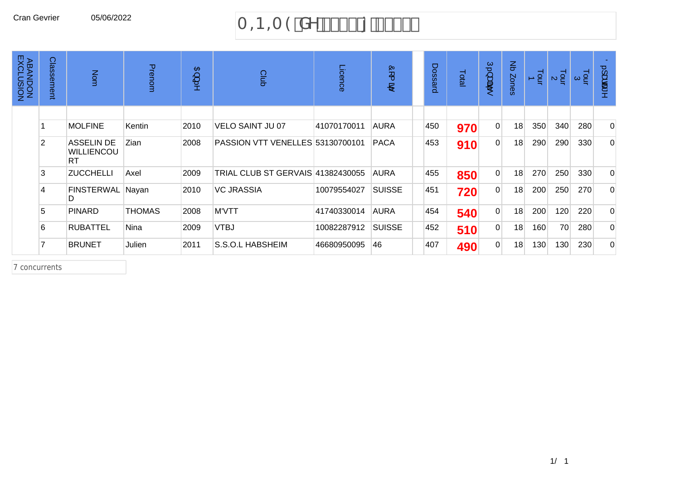# Cran Gevrier 05/06/2022  $A \oplus A \oplus A \oplus XY$   $8\$\$$ ,  $\{8\$\$$ -

| ABANDON<br>ABANDON<br>EXCLUSION | Classement | Nom                                                 | Prenom        | 日<br>پ<br>.s | Club                              | Licence     | òr (<br>$\mathbf{P}$ | Dossard | Total | $\subseteq$<br>ी अंब<br>to. | $\mathbf{\Xi}$<br>Zones | $\frac{1}{2}$ | $\frac{1}{2}$ | $\frac{1}{2}$ $\circ$ | $\circ$<br>ىپ<br>க்கூ<br>$\mathbf{v}$ |
|---------------------------------|------------|-----------------------------------------------------|---------------|--------------|-----------------------------------|-------------|----------------------|---------|-------|-----------------------------|-------------------------|---------------|---------------|-----------------------|---------------------------------------|
|                                 |            |                                                     |               |              |                                   |             |                      |         |       |                             |                         |               |               |                       |                                       |
|                                 |            | <b>MOLFINE</b>                                      | Kentin        | 2010         | VELO SAINT JU 07                  | 41070170011 | <b>AURA</b>          | 450     | 970   | $\overline{0}$              | 18                      | 350           | 340           | 280                   | $\overline{0}$                        |
|                                 | 2          | <b>ASSELIN DE</b><br><b>WILLIENCOU</b><br><b>RT</b> | Zian          | 2008         | PASSION VTT VENELLES 53130700101  |             | <b>PACA</b>          | 453     | 910   | 0                           | 18                      | 290           | 290           | 330                   | $\overline{0}$                        |
|                                 | 3          | <b>ZUCCHELLI</b>                                    | Axel          | 2009         | TRIAL CLUB ST GERVAIS 41382430055 |             | <b>AURA</b>          | 455     | 850   | $\overline{0}$              | 18                      | 270           | 250           | 330                   | $\Omega$                              |
|                                 | 4          | FINSTERWAL Nayan<br>D.                              |               | 2010         | VC JRASSIA                        | 10079554027 | <b>SUISSE</b>        | 451     | 720   | $\overline{0}$              | 18                      | 200           | 250           | 270                   | $\overline{0}$                        |
|                                 | 5          | <b>PINARD</b>                                       | <b>THOMAS</b> | 2008         | <b>M'VTT</b>                      | 41740330014 | <b>AURA</b>          | 454     | 540   | $\overline{0}$              | 18                      | 200           | 120           | 220                   | $\overline{0}$                        |
|                                 | 6          | <b>RUBATTEL</b>                                     | Nina          | 2009         | <b>VTBJ</b>                       | 10082287912 | <b>SUISSE</b>        | 452     | 510   | 0 <sup>1</sup>              | 18                      | 160           | 70            | 280                   | $\overline{0}$                        |
|                                 |            | <b>BRUNET</b>                                       | Julien        | 2011         | S.S.O.L HABSHEIM                  | 46680950095 | 46                   | 407     | 490   | $\overline{0}$              | 18                      | 130           | 130           | 230                   | $\Omega$                              |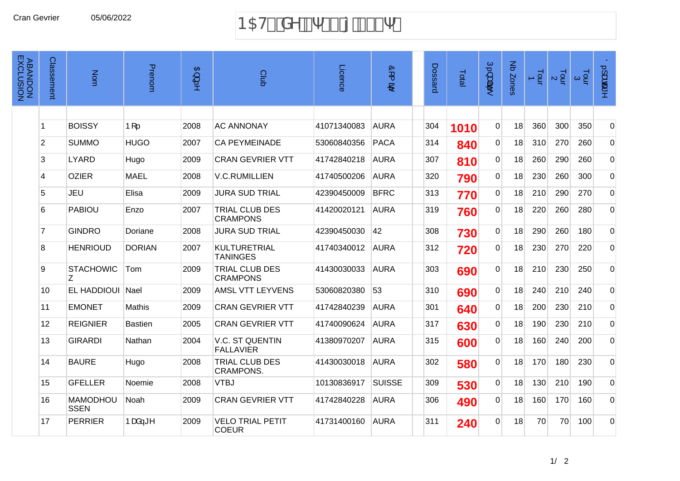# Cran Gevrier 05/06/2022 1 B5H' XY % \$\$ { &\$\$-

| <b>ABANDON<br/>ABANDON</b> | Classement              | Nom                            | Prenom         | $\frac{1}{2}$ | Club                                       | Licence     | òr (<br>$\mathbf{B}^i$ | Dossard | Total | Ú.) apř.<br>t. | Nb Zones | $\overline{5}$ | $\frac{1}{2}$ $\alpha$ | $\frac{1}{2}$ $\alpha$ | $0.1$ adat ^   |
|----------------------------|-------------------------|--------------------------------|----------------|---------------|--------------------------------------------|-------------|------------------------|---------|-------|----------------|----------|----------------|------------------------|------------------------|----------------|
|                            |                         |                                |                |               |                                            |             |                        |         |       |                |          |                |                        |                        |                |
|                            | $\overline{1}$          | <b>BOISSY</b>                  | $P[\dots]$     | 2008          | <b>AC ANNONAY</b>                          | 41071340083 | <b>AURA</b>            | 304     | 1010  | $\overline{0}$ | 18       | 360            | 300                    | 350                    | $\overline{0}$ |
|                            | $\overline{2}$          | <b>SUMMO</b>                   | <b>HUGO</b>    | 2007          | <b>CA PEYMEINADE</b>                       | 53060840356 | <b>PACA</b>            | 314     | 840   | $\overline{0}$ | 18       | 310            | 270                    | 260                    | $\overline{0}$ |
|                            | 3                       | <b>LYARD</b>                   | Hugo           | 2009          | <b>CRAN GEVRIER VTT</b>                    | 41742840218 | <b>AURA</b>            | 307     | 810   | 0              | 18       | 260            | 290                    | 260                    | $\overline{0}$ |
|                            | $\overline{\mathbf{4}}$ | <b>OZIER</b>                   | <b>MAEL</b>    | 2008          | <b>V.C.RUMILLIEN</b>                       | 41740500206 | <b>AURA</b>            | 320     | 790   | $\overline{0}$ | 18       | 230            | 260                    | 300                    | $\overline{0}$ |
|                            | 5                       | <b>JEU</b>                     | Elisa          | 2009          | <b>JURA SUD TRIAL</b>                      | 42390450009 | <b>BFRC</b>            | 313     | 770   | $\overline{0}$ | 18       | 210            | 290                    | 270                    | $\overline{0}$ |
|                            | 6                       | <b>PABIOU</b>                  | Enzo           | 2007          | TRIAL CLUB DES<br><b>CRAMPONS</b>          | 41420020121 | <b>AURA</b>            | 319     | 760   | $\overline{0}$ | 18       | 220            | 260                    | 280                    | $\overline{0}$ |
|                            | $\overline{7}$          | <b>GINDRO</b>                  | Doriane        | 2008          | <b>JURA SUD TRIAL</b>                      | 42390450030 | 42                     | 308     | 730   | $\overline{0}$ | 18       | 290            | 260                    | 180                    | $\overline{0}$ |
|                            | 8                       | <b>HENRIOUD</b>                | <b>DORIAN</b>  | 2007          | <b>KULTURETRIAL</b><br><b>TANINGES</b>     | 41740340012 | <b>AURA</b>            | 312     | 720   | $\overline{0}$ | 18       | 230            | 270                    | 220                    | $\overline{0}$ |
|                            | 9                       | <b>STACHOWIC</b><br>Ζ          | Tom            | 2009          | TRIAL CLUB DES<br><b>CRAMPONS</b>          | 41430030033 | <b>AURA</b>            | 303     | 690   | $\mathbf 0$    | 18       | 210            | 230                    | 250                    | $\overline{0}$ |
|                            | 10                      | <b>EL HADDIOUI</b>             | Nael           | 2009          | AMSL VTT LEYVENS                           | 53060820380 | 53                     | 310     | 690   | $\overline{0}$ | 18       | 240            | 210                    | 240                    | $\overline{0}$ |
|                            | 11                      | <b>EMONET</b>                  | Mathis         | 2009          | <b>CRAN GEVRIER VTT</b>                    | 41742840239 | <b>AURA</b>            | 301     | 640   | $\overline{0}$ | 18       | 200            | 230                    | 210                    | $\overline{0}$ |
|                            | 12                      | <b>REIGNIER</b>                | <b>Bastien</b> | 2005          | <b>CRAN GEVRIER VTT</b>                    | 41740090624 | <b>AURA</b>            | 317     | 630   | $\overline{0}$ | 18       | 190            | 230                    | 210                    | $\overline{0}$ |
|                            | 13                      | <b>GIRARDI</b>                 | Nathan         | 2004          | <b>V.C. ST QUENTIN</b><br><b>FALLAVIER</b> | 41380970207 | <b>AURA</b>            | 315     | 600   | $\overline{0}$ | 18       | 160            | 240                    | 200                    | $\overline{0}$ |
|                            | 14                      | <b>BAURE</b>                   | Hugo           | 2008          | TRIAL CLUB DES<br><b>CRAMPONS.</b>         | 41430030018 | <b>AURA</b>            | 302     | 580   | $\overline{0}$ | 18       | 170            | 180                    | 230                    | $\overline{0}$ |
|                            | 15                      | <b>GFELLER</b>                 | Noemie         | 2008          | <b>VTBJ</b>                                | 10130836917 | <b>SUISSE</b>          | 309     | 530   | $\overline{0}$ | 18       | 130            | 210                    | 190                    | $\overline{0}$ |
|                            | 16                      | <b>MAMODHOU</b><br><b>SSEN</b> | Noah           | 2009          | <b>CRAN GEVRIER VTT</b>                    | 41742840228 | <b>AURA</b>            | 306     | 490   | $\Omega$       | 18       | 160            | 170                    | 160                    | $\overline{0}$ |
|                            | 17                      | <b>PERRIER</b>                 | Þæå—≛^         | 2009          | <b>VELO TRIAL PETIT</b><br><b>COEUR</b>    | 41731400160 | <b>AURA</b>            | 311     | 240   | $\Omega$       | 18       | 70             | 70                     | 100                    | $\overline{0}$ |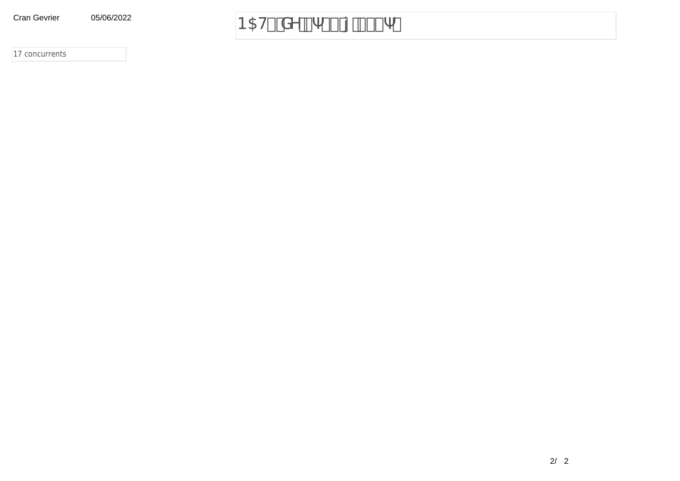**Cran Gevrier** 05/06/2022

#### B5H XY % \$\$ { &\$\$-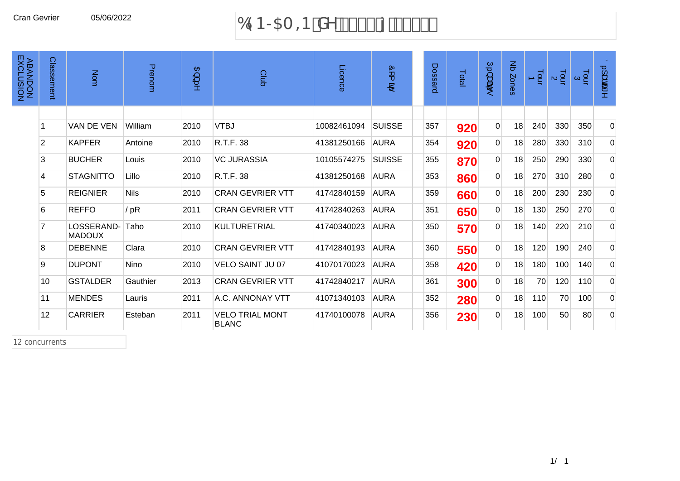# Cran Gevrier 05/06/2022 69B > 5A = B XY & \$%\$ { & \$%

| <b>ABANDON<br/>ABANDON</b> | Classement     | Nom                         | Prenom                   | $\mathbf{B}$<br>پ<br>ţ, | Club                                   | Licence     | Ò<br>∼<br>B)  | Dossard | Total | Ú.}<br>ंद्रीहर<br>te. | $\operatorname{\mathsf{g}}$<br>Zones | Tour<br>$\blacktriangle$ | $\frac{1}{2}$ $\alpha$ | $\frac{1}{2}$ $\alpha$ | 0.1aœ^         |
|----------------------------|----------------|-----------------------------|--------------------------|-------------------------|----------------------------------------|-------------|---------------|---------|-------|-----------------------|--------------------------------------|--------------------------|------------------------|------------------------|----------------|
|                            |                |                             |                          |                         |                                        |             |               |         |       |                       |                                      |                          |                        |                        |                |
|                            |                | VAN DE VEN                  | William                  | 2010                    | <b>VTBJ</b>                            | 10082461094 | <b>SUISSE</b> | 357     | 920   | $\Omega$              | 18                                   | 240                      | 330                    | 350                    | $\overline{0}$ |
|                            | $\overline{2}$ | <b>KAPFER</b>               | Antoine                  | 2010                    | R.T.F. 38                              | 41381250166 | <b>AURA</b>   | 354     | 920   | $\Omega$              | 18                                   | 280                      | 330                    | 310                    | $\overline{0}$ |
|                            | 3              | <b>BUCHER</b>               | Louis                    | 2010                    | <b>VC JURASSIA</b>                     | 10105574275 | <b>SUISSE</b> | 355     | 870   | 0                     | 18                                   | 250                      | 290                    | 330                    | $\overline{0}$ |
|                            | 4              | <b>STAGNITTO</b>            | Lillo                    | 2010                    | R.T.F. 38                              | 41381250168 | <b>AURA</b>   | 353     | 860   | $\overline{0}$        | 18                                   | 270                      | 310                    | 280                    | $\overline{0}$ |
|                            | 5              | <b>REIGNIER</b>             | <b>Nils</b>              | 2010                    | <b>CRAN GEVRIER VTT</b>                | 41742840159 | <b>AURA</b>   | 359     | 660   | 0                     | 18                                   | 200                      | 230                    | 230                    | $\overline{0}$ |
|                            | 6              | <b>REFFO</b>                | $\check{\mathsf{S}}$ . [ | 2011                    | <b>CRAN GEVRIER VTT</b>                | 41742840263 | <b>AURA</b>   | 351     | 650   | $\overline{0}$        | 18                                   | 130                      | 250                    | 270                    | $\overline{0}$ |
|                            |                | LOSSERAND-<br><b>MADOUX</b> | Taho                     | 2010                    | <b>KULTURETRIAL</b>                    | 41740340023 | <b>AURA</b>   | 350     | 570   | $\mathbf 0$           | 18                                   | 140                      | 220                    | 210                    | $\overline{0}$ |
|                            | 8              | <b>DEBENNE</b>              | Clara                    | 2010                    | <b>CRAN GEVRIER VTT</b>                | 41742840193 | <b>AURA</b>   | 360     | 550   | $\overline{0}$        | 18                                   | 120                      | 190                    | 240                    | $\overline{0}$ |
|                            | 9              | <b>DUPONT</b>               | <b>Nino</b>              | 2010                    | <b>VELO SAINT JU 07</b>                | 41070170023 | <b>AURA</b>   | 358     | 420   | $\Omega$              | 18                                   | 180                      | 100                    | 140                    | $\overline{0}$ |
|                            | 10             | <b>GSTALDER</b>             | Gauthier                 | 2013                    | <b>CRAN GEVRIER VTT</b>                | 41742840217 | <b>AURA</b>   | 361     | 300   | $\overline{0}$        | 18                                   | 70                       | 120                    | 110                    | $\overline{0}$ |
|                            | 11             | <b>MENDES</b>               | Lauris                   | 2011                    | A.C. ANNONAY VTT                       | 41071340103 | <b>AURA</b>   | 352     | 280   | $\mathbf 0$           | 18                                   | 110                      | 70                     | 100                    | $\overline{0}$ |
|                            | 12             | <b>CARRIER</b>              | Esteban                  | 2011                    | <b>VELO TRIAL MONT</b><br><b>BLANC</b> | 41740100078 | AURA          | 356     | 230   | $\mathbf 0$           | 18                                   | 100                      | 50                     | 80                     | $\overline{0}$ |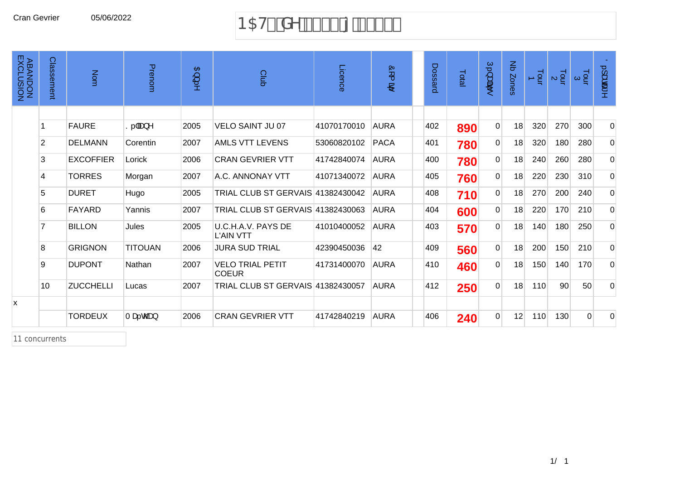#### Cran Gevrier 05/06/2022 B5H& XY % \$\$ {  $8$ \$\$+

| <b>ABANDON<br/>ABANDON</b> | Classement      | Nom              | Prenom                       | $\mathfrak{B}$<br>ţ, | Club                                     | Licence     | Ò<br>$\overline{\phantom{1}}$<br>بھغ | Dossard | Total | Ú.}碑<br>to.    | Nb Zones | $\frac{1}{2}$ | $\frac{1}{2}$ | $\frac{1}{2}$ $\alpha$ | $\ddot{\mathrm{O}}$ .] at cas $\land$ |
|----------------------------|-----------------|------------------|------------------------------|----------------------|------------------------------------------|-------------|--------------------------------------|---------|-------|----------------|----------|---------------|---------------|------------------------|---------------------------------------|
|                            |                 |                  |                              |                      |                                          |             |                                      |         |       |                |          |               |               |                        |                                       |
|                            |                 | <b>FAURE</b>     | $S.$ $\tilde{a}$ a $\lambda$ | 2005                 | <b>VELO SAINT JU 07</b>                  | 41070170010 | <b>AURA</b>                          | 402     | 890   | $\overline{0}$ | 18       | 320           | 270           | 300                    | $\mathbf 0$                           |
|                            | $\overline{2}$  | <b>DELMANN</b>   | Corentin                     | 2007                 | <b>AMLS VTT LEVENS</b>                   | 53060820102 | <b>PACA</b>                          | 401     | 780   | $\overline{0}$ | 18       | 320           | 180           | 280                    | $\overline{0}$                        |
|                            | 3               | <b>EXCOFFIER</b> | Lorick                       | 2006                 | <b>CRAN GEVRIER VTT</b>                  | 41742840074 | <b>AURA</b>                          | 400     | 780   | $\overline{0}$ | 18       | 240           | 260           | 280                    | 0                                     |
|                            | 4               | <b>TORRES</b>    | Morgan                       | 2007                 | A.C. ANNONAY VTT                         | 41071340072 | <b>AURA</b>                          | 405     | 760   | $\overline{0}$ | 18       | 220           | 230           | 310                    | $\overline{0}$                        |
|                            | 5               | <b>DURET</b>     | Hugo                         | 2005                 | <b>TRIAL CLUB ST GERVAIS 41382430042</b> |             | <b>AURA</b>                          | 408     | 710   | $\overline{0}$ | 18       | 270           | 200           | 240                    | $\mathbf 0$                           |
|                            | 6               | <b>FAYARD</b>    | Yannis                       | 2007                 | TRIAL CLUB ST GERVAIS 41382430063        |             | <b>AURA</b>                          | 404     | 600   | $\overline{0}$ | 18       | 220           | 170           | 210                    | $\overline{0}$                        |
|                            | 7               | <b>BILLON</b>    | Jules                        | 2005                 | U.C.H.A.V. PAYS DE<br><b>L'AIN VTT</b>   | 41010400052 | <b>AURA</b>                          | 403     | 570   | $\overline{0}$ | 18       | 140           | 180           | 250                    | $\mathbf 0$                           |
|                            | 8               | <b>GRIGNON</b>   | <b>TITOUAN</b>               | 2006                 | <b>JURA SUD TRIAL</b>                    | 42390450036 | 42                                   | 409     | 560   | $\overline{0}$ | 18       | 200           | 150           | 210                    | $\overline{0}$                        |
|                            | 9               | <b>DUPONT</b>    | Nathan                       | 2007                 | <b>VELO TRIAL PETIT</b><br><b>COEUR</b>  | 41731400070 | <b>AURA</b>                          | 410     | 460   | $\overline{0}$ | 18       | 150           | 140           | 170                    | $\overline{0}$                        |
|                            | 10 <sup>1</sup> | <b>ZUCCHELLI</b> | Lucas                        | 2007                 | <b>TRIAL CLUB ST GERVAIS 41382430057</b> |             | <b>AURA</b>                          | 412     | 250   | $\Omega$       | 18       | 110           | 90            | 50                     | $\overline{0}$                        |
| x                          |                 |                  |                              |                      |                                          |             |                                      |         |       |                |          |               |               |                        |                                       |
|                            |                 | <b>TORDEUX</b>   | Tæ.com                       | 2006                 | <b>CRAN GEVRIER VTT</b>                  | 41742840219 | <b>AURA</b>                          | 406     | 240   | $\Omega$       | 12       | 110           | 130           | $\Omega$               | $\Omega$                              |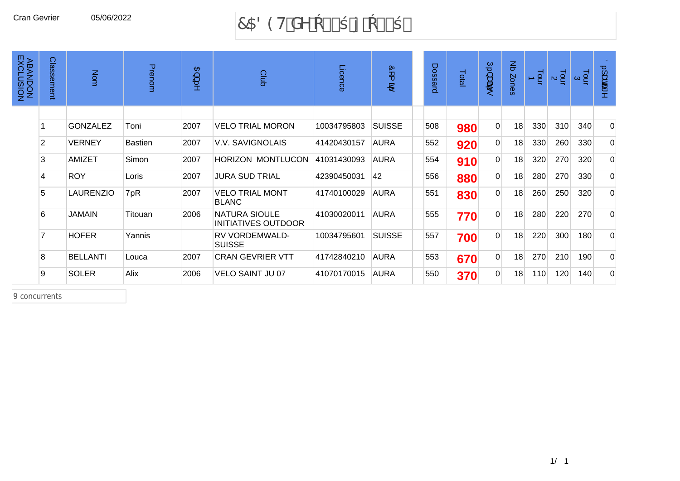#### 7589H XY &\$\$\* { &\$\$+

| <b>ABANDON<br/>ABANDON</b> | Classement     | Nom              | Prenom         | $\mathbf{B}$<br>پ<br>5 | Club                                               | Licence     | Ò<br>$\overline{\phantom{a}}$<br>$\mathbf{P}$ | Dossard | Total | Ú.}æi<br>to.   | $\mathsf{g}% _{T}$<br>Zones | $\frac{1}{2}$ | $\frac{1}{2}$ a | $\frac{1}{9}$ $\approx$ | $\circ$<br>}ada |
|----------------------------|----------------|------------------|----------------|------------------------|----------------------------------------------------|-------------|-----------------------------------------------|---------|-------|----------------|-----------------------------|---------------|-----------------|-------------------------|-----------------|
|                            |                |                  |                |                        |                                                    |             |                                               |         |       |                |                             |               |                 |                         |                 |
|                            |                | <b>GONZALEZ</b>  | Toni           | 2007                   | <b>VELO TRIAL MORON</b>                            | 10034795803 | <b>SUISSE</b>                                 | 508     | 980   | $\Omega$       | 18                          | 330           | 310             | 340                     | $\overline{0}$  |
|                            | 2              | <b>VERNEY</b>    | <b>Bastien</b> | 2007                   | V.V. SAVIGNOLAIS                                   | 41420430157 | <b>AURA</b>                                   | 552     | 920   | 0              | 18                          | 330           | 260             | 330                     | $\Omega$        |
|                            | 3              | AMIZET           | Simon          | 2007                   | <b>HORIZON MONTLUCON</b>                           | 41031430093 | <b>AURA</b>                                   | 554     | 910   | 0              | 18                          | 320           | 270             | 320                     | $\Omega$        |
|                            | 4              | <b>ROY</b>       | Loris          | 2007                   | <b>JURA SUD TRIAL</b>                              | 42390450031 | 42                                            | 556     | 880   | 0              | 18                          | 280           | 270             | 330                     | $\overline{0}$  |
|                            | 5              | <b>LAURENZIO</b> | V. [.          | 2007                   | <b>VELO TRIAL MONT</b><br><b>BLANC</b>             | 41740100029 | <b>AURA</b>                                   | 551     | 830   | $\Omega$       | 18                          | 260           | 250             | 320                     | $\overline{0}$  |
|                            | 6              | <b>JAMAIN</b>    | Titouan        | 2006                   | <b>NATURA SIOULE</b><br><b>INITIATIVES OUTDOOR</b> | 41030020011 | <b>AURA</b>                                   | 555     | 770   | $\overline{0}$ | 18                          | 280           | 220             | 270                     | $\overline{0}$  |
|                            | $\overline{7}$ | <b>HOFER</b>     | Yannis         |                        | RV VORDEMWALD-<br><b>SUISSE</b>                    | 10034795601 | <b>SUISSE</b>                                 | 557     | 700   | $\overline{0}$ | 18                          | 220           | 300             | 180                     | $\Omega$        |
|                            | 8              | <b>BELLANTI</b>  | Louca          | 2007                   | <b>CRAN GEVRIER VTT</b>                            | 41742840210 | <b>AURA</b>                                   | 553     | 670   | $\Omega$       | 18                          | 270           | 210             | 190                     | $\Omega$        |
|                            | 9              | <b>SOLER</b>     | Alix           | 2006                   | VELO SAINT JU 07                                   | 41070170015 | <b>AURA</b>                                   | 550     | 370   | 0              | 18                          | 110           | 120             | 140                     | $\Omega$        |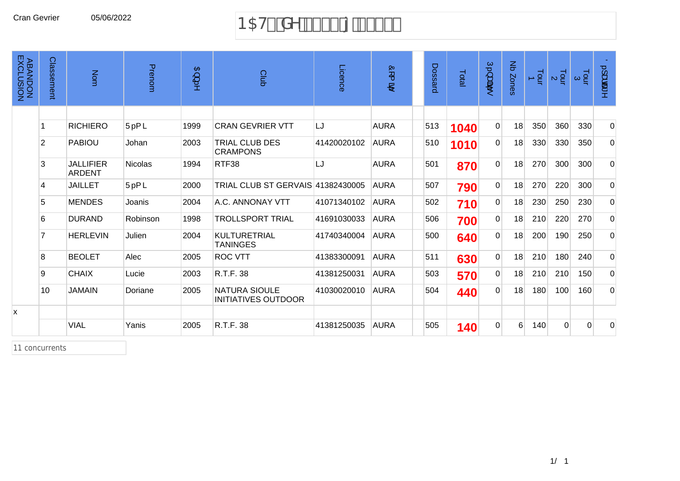# Cran Gevrier 05/06/2022 B5H%XY % \$\$ { 8\$\$)

| <b>ABANDON<br/>ABANDON</b> | Classement     | Nom                               | Prenom         | $\mathfrak{B}$ ) | Club                                               | Licence     | Ò<br>$\overline{\phantom{1}}$<br>$\mathbf{B}$ | Dossard | Total | Ú.}æ<br>te.    | $\operatorname{\mathsf{g}}$<br>Zones | $\frac{1}{9}$ | $\frac{1}{2}$ $\alpha$ | $\frac{1}{9}$ $\alpha$ | $\ddot{\mathrm{O}}$ . ] $\mathrm{diag} \wedge$ |
|----------------------------|----------------|-----------------------------------|----------------|------------------|----------------------------------------------------|-------------|-----------------------------------------------|---------|-------|----------------|--------------------------------------|---------------|------------------------|------------------------|------------------------------------------------|
|                            |                |                                   |                |                  |                                                    |             |                                               |         |       |                |                                      |               |                        |                        |                                                |
|                            |                | <b>RICHIERO</b>                   | Ü. { ã         | 1999             | <b>CRAN GEVRIER VTT</b>                            | LJ          | <b>AURA</b>                                   | 513     | 1040  | $\overline{0}$ | 18                                   | 350           | 360                    | 330                    | $\overline{0}$                                 |
|                            | $\overline{2}$ | <b>PABIOU</b>                     | Johan          | 2003             | <b>TRIAL CLUB DES</b><br><b>CRAMPONS</b>           | 41420020102 | <b>AURA</b>                                   | 510     | 1010  | $\overline{0}$ | 18                                   | 330           | 330                    | 350                    | $\Omega$                                       |
|                            | 3              | <b>JALLIFIER</b><br><b>ARDENT</b> | <b>Nicolas</b> | 1994             | RTF38                                              | LJ          | <b>AURA</b>                                   | 501     | 870   | $\overline{0}$ | 18                                   | 270           | 300                    | 300                    | $\overline{0}$                                 |
|                            | $\overline{4}$ | <b>JAILLET</b>                    | Ü.{ ã          | 2000             | TRIAL CLUB ST GERVAIS 41382430005                  |             | <b>AURA</b>                                   | 507     | 790   | $\overline{0}$ | 18                                   | 270           | 220                    | 300                    | $\overline{0}$                                 |
|                            | 5              | <b>MENDES</b>                     | Joanis         | 2004             | A.C. ANNONAY VTT                                   | 41071340102 | <b>AURA</b>                                   | 502     | 710   | $\overline{0}$ | 18                                   | 230           | 250                    | 230                    | $\overline{0}$                                 |
|                            | 6              | <b>DURAND</b>                     | Robinson       | 1998             | <b>TROLLSPORT TRIAL</b>                            | 41691030033 | <b>AURA</b>                                   | 506     | 700   | $\overline{0}$ | 18                                   | 210           | 220                    | 270                    | $\overline{0}$                                 |
|                            |                | <b>HERLEVIN</b>                   | Julien         | 2004             | <b>KULTURETRIAL</b><br><b>TANINGES</b>             | 41740340004 | <b>AURA</b>                                   | 500     | 640   | $\overline{0}$ | 18                                   | 200           | 190                    | 250                    | $\Omega$                                       |
|                            | 8              | <b>BEOLET</b>                     | Alec           | 2005             | <b>ROC VTT</b>                                     | 41383300091 | <b>AURA</b>                                   | 511     | 630   | $\overline{0}$ | 18                                   | 210           | 180                    | 240                    | $\overline{0}$                                 |
|                            | 9              | <b>CHAIX</b>                      | Lucie          | 2003             | R.T.F. 38                                          | 41381250031 | <b>AURA</b>                                   | 503     | 570   | $\overline{0}$ | 18                                   | 210           | 210                    | 150                    | $\overline{0}$                                 |
|                            | 10             | <b>JAMAIN</b>                     | Doriane        | 2005             | <b>NATURA SIOULE</b><br><b>INITIATIVES OUTDOOR</b> | 41030020010 | <b>AURA</b>                                   | 504     | 440   | $\Omega$       | 18                                   | 180           | 100                    | 160                    | $\Omega$                                       |
| x                          |                |                                   |                |                  |                                                    |             |                                               |         |       |                |                                      |               |                        |                        |                                                |
|                            |                | <b>VIAL</b>                       | Yanis          | 2005             | R.T.F. 38                                          | 41381250035 | <b>AURA</b>                                   | 505     | 140   | $\Omega$       | 6                                    | 140           | $\mathbf{0}$           | $\Omega$               | 0                                              |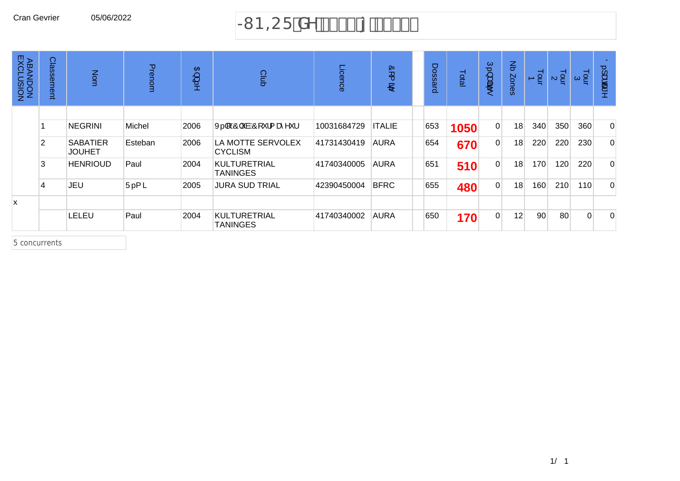# Cran Gevrier 05/06/2022  $\rightarrow$  B=CF  $XY$  &\$\$( { &\$\$)

| <b>ABANDON<br/>ABANDON</b> | Classement     | Nom                              | Prenom  | $\mathfrak{B}$<br>$\Rightarrow$ | Club                                   | Licence     | Ò<br>$\overline{\phantom{0}}$<br>$P^2$ | Dossard | Total | $\subset$<br>سيته<br>क्षेत्र<br>to. | $\mathbf{\Xi}$<br>Zones | $\frac{1}{2}$ | $\frac{1}{2}$ | $\frac{1}{2}$ $\alpha$ | $\overline{O}$<br>ىپ<br>க்கு<br>8 |
|----------------------------|----------------|----------------------------------|---------|---------------------------------|----------------------------------------|-------------|----------------------------------------|---------|-------|-------------------------------------|-------------------------|---------------|---------------|------------------------|-----------------------------------|
|                            |                |                                  |         |                                 |                                        |             |                                        |         |       |                                     |                         |               |               |                        |                                   |
|                            |                | <b>NEGRINI</b>                   | Michel  | 2006                            | X. [[ ÁÔ  `àÁÔ[ ` ¦{ æ̂^` ¦            | 10031684729 | <b>ITALIE</b>                          | 653     | 1050  | $\overline{0}$                      | 18                      | 340           | 350           | 360                    | $\overline{0}$                    |
|                            | $\overline{2}$ | <b>SABATIER</b><br><b>JOUHET</b> | Esteban | 2006                            | LA MOTTE SERVOLEX<br><b>CYCLISM</b>    | 41731430419 | <b>AURA</b>                            | 654     | 670   | $\overline{0}$                      | 18                      | 220           | 220           | 230                    | $\Omega$                          |
|                            | 3              | <b>HENRIOUD</b>                  | Paul    | 2004                            | <b>KULTURETRIAL</b><br><b>TANINGES</b> | 41740340005 | <b>AURA</b>                            | 651     | 510   | $\overline{0}$                      | 18                      | 170           | 120           | 220                    | $\overline{0}$                    |
|                            | $\overline{4}$ | JEU                              | Ü. { ã  | 2005                            | <b>JURA SUD TRIAL</b>                  | 42390450004 | <b>BFRC</b>                            | 655     | 480   | $\overline{0}$                      | 18                      | 160           | 210           | 110                    | $\overline{0}$                    |
| x                          |                |                                  |         |                                 |                                        |             |                                        |         |       |                                     |                         |               |               |                        |                                   |
|                            |                | LELEU                            | Paul    | 2004                            | <b>KULTURETRIAL</b><br><b>TANINGES</b> | 41740340002 | <b>AURA</b>                            | 650     | 170   | $\overline{0}$                      | 12                      | 90            | 80            | $\Omega$               | $\overline{0}$                    |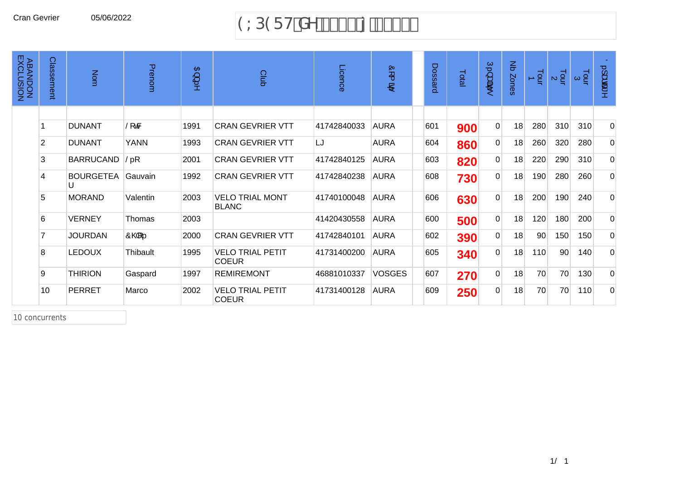#### Cran Gevrier 05/06/2022 (;3(57GHj

| <b>ABANDON<br/>ABANDON</b> | Classement     | Nom              | Prenom                   | $\mathfrak{B}$ ) | Club                                    | Licence     | ÖL<br>B,      | Dossard | Total | $\tilde{U},\}$<br>क्षेत्र | $\mathbf{g}$<br>Zones | $\frac{1}{9}$ | $\frac{1}{2}$ a | $\frac{1}{9}$ $\alpha$ | 0.1aca*        |
|----------------------------|----------------|------------------|--------------------------|------------------|-----------------------------------------|-------------|---------------|---------|-------|---------------------------|-----------------------|---------------|-----------------|------------------------|----------------|
|                            |                |                  |                          |                  |                                         |             |               |         |       |                           |                       |               |                 |                        |                |
|                            |                | <b>DUNANT</b>    | $\tilde{S}$ f&           | 1991             | <b>CRAN GEVRIER VTT</b>                 | 41742840033 | <b>AURA</b>   | 601     | 900   | $\overline{0}$            | 18                    | 280           | 310             | 310                    | $\overline{0}$ |
|                            | $\overline{2}$ | <b>DUNANT</b>    | <b>YANN</b>              | 1993             | <b>CRAN GEVRIER VTT</b>                 | LJ          | <b>AURA</b>   | 604     | 860   | $\overline{0}$            | 18                    | 260           | 320             | 280                    | $\overline{0}$ |
|                            | 3              | <b>BARRUCAND</b> | $\check{\mathsf{S}}$ . [ | 2001             | <b>CRAN GEVRIER VTT</b>                 | 41742840125 | <b>AURA</b>   | 603     | 820   | $\overline{0}$            | 18                    | 220           | 290             | 310                    | $\overline{0}$ |
|                            | 4              | <b>BOURGETEA</b> | Gauvain                  | 1992             | <b>CRAN GEVRIER VTT</b>                 | 41742840238 | <b>AURA</b>   | 608     | 730   | $\overline{0}$            | 18                    | 190           | 280             | 260                    | $\overline{0}$ |
|                            | 5              | <b>MORAND</b>    | Valentin                 | 2003             | <b>VELO TRIAL MONT</b><br><b>BLANC</b>  | 41740100048 | <b>AURA</b>   | 606     | 630   | $\overline{0}$            | 18                    | 200           | 190             | 240                    | $\overline{0}$ |
|                            | 6              | <b>VERNEY</b>    | Thomas                   | 2003             |                                         | 41420430558 | <b>AURA</b>   | 600     | 500   | $\overline{0}$            | 18                    | 120           | 180             | 200                    | $\overline{0}$ |
|                            |                | <b>JOURDAN</b>   | ÔQ4 …                    | 2000             | <b>CRAN GEVRIER VTT</b>                 | 41742840101 | <b>AURA</b>   | 602     | 390   | $\overline{0}$            | 18                    | 90            | 150             | 150                    | $\overline{0}$ |
|                            | 8              | <b>LEDOUX</b>    | Thibault                 | 1995             | <b>VELO TRIAL PETIT</b><br><b>COEUR</b> | 41731400200 | <b>AURA</b>   | 605     | 340   | $\overline{0}$            | 18                    | 110           | 90              | 140                    | $\overline{0}$ |
|                            | 9              | <b>THIRION</b>   | Gaspard                  | 1997             | <b>REMIREMONT</b>                       | 46881010337 | <b>VOSGES</b> | 607     | 270   | $\overline{0}$            | 18                    | 70            | 70              | 130                    | $\overline{0}$ |
|                            | 10             | <b>PERRET</b>    | Marco                    | 2002             | <b>VELO TRIAL PETIT</b><br><b>COEUR</b> | 41731400128 | <b>AURA</b>   | 609     | 250   | $\overline{0}$            | 18                    | 70            | 70              | 110                    | $\overline{0}$ |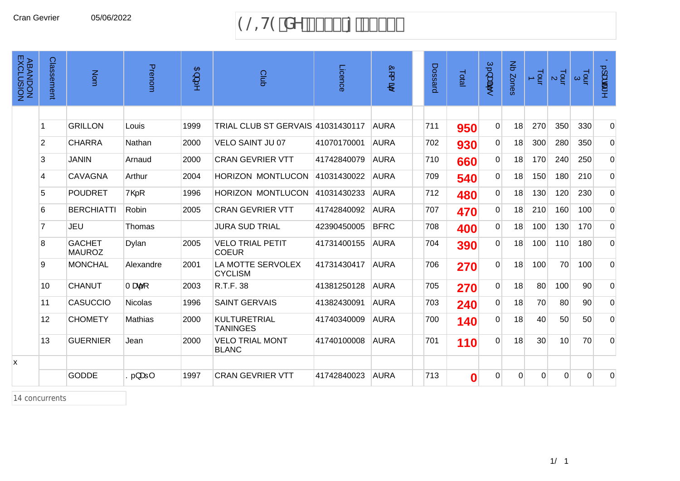#### Cran Gevrier 05/06/2022 (19/2010) 9 and 19 and 19 and 19 and 19 and 19 and 19 and 19 and 19 and 19 and 19 and 1

| <b>ABANDON<br/>ABANDON</b> | Classement     | Nom                            | Prenom                   | $\langle \text{B} \rangle$<br>.<br>:> | Club                                    | Licence     | Ó<br>$\overline{\phantom{a}}$<br>$\mathbf{P}^i$ | Dossard | Total            | $U.\lambda$ apā<br>$\bullet$ | Nb Zones | $\frac{1}{2}$ | $\frac{1}{2}$ a | $\frac{1}{9}$ $\alpha$ | $0.1$ adat $\sim$ |
|----------------------------|----------------|--------------------------------|--------------------------|---------------------------------------|-----------------------------------------|-------------|-------------------------------------------------|---------|------------------|------------------------------|----------|---------------|-----------------|------------------------|-------------------|
|                            |                |                                |                          |                                       |                                         |             |                                                 |         |                  |                              |          |               |                 |                        |                   |
|                            |                | <b>GRILLON</b>                 | Louis                    | 1999                                  | TRIAL CLUB ST GERVAIS 41031430117       |             | <b>AURA</b>                                     | 711     | 950              | $\mathbf 0$                  | 18       | 270           | 350             | 330                    | $\overline{0}$    |
|                            | $\overline{2}$ | <b>CHARRA</b>                  | Nathan                   | 2000                                  | <b>VELO SAINT JU 07</b>                 | 41070170001 | <b>AURA</b>                                     | 702     | 930              | $\Omega$                     | 18       | 300           | 280             | 350                    | $\overline{0}$    |
|                            | 3              | <b>JANIN</b>                   | Arnaud                   | 2000                                  | <b>CRAN GEVRIER VTT</b>                 | 41742840079 | <b>AURA</b>                                     | 710     | 660              | $\overline{0}$               | 18       | 170           | 240             | 250                    | $\overline{0}$    |
|                            | 4              | <b>CAVAGNA</b>                 | Arthur                   | 2004                                  | <b>HORIZON MONTLUCON</b>                | 41031430022 | <b>AURA</b>                                     | 709     | 540              | $\overline{0}$               | 18       | 150           | 180             | 210                    | $\overline{0}$    |
|                            | 5              | <b>POUDRET</b>                 | $V@$ .                   | 1996                                  | <b>HORIZON MONTLUCON</b>                | 41031430233 | <b>AURA</b>                                     | 712     | 480              | $\overline{0}$               | 18       | 130           | 120             | 230                    | $\overline{0}$    |
|                            | 6              | <b>BERCHIATTI</b>              | Robin                    | 2005                                  | <b>CRAN GEVRIER VTT</b>                 | 41742840092 | <b>AURA</b>                                     | 707     | 470              | $\Omega$                     | 18       | 210           | 160             | 100                    | $\overline{0}$    |
|                            | 7              | JEU                            | <b>Thomas</b>            |                                       | <b>JURA SUD TRIAL</b>                   | 42390450005 | <b>BFRC</b>                                     | 708     | 400              | $\Omega$                     | 18       | 100           | 130             | 170                    | $\overline{0}$    |
|                            | 8              | <b>GACHET</b><br><b>MAUROZ</b> | Dylan                    | 2005                                  | <b>VELO TRIAL PETIT</b><br><b>COEUR</b> | 41731400155 | <b>AURA</b>                                     | 704     | 390              | $\overline{0}$               | 18       | 100           | 110             | 180                    | $\overline{0}$    |
|                            | 9              | <b>MONCHAL</b>                 | Alexandre                | 2001                                  | LA MOTTE SERVOLEX<br><b>CYCLISM</b>     | 41731430417 | <b>AURA</b>                                     | 706     | 270              | $\Omega$                     | 18       | 100           | 70              | 100                    | $\Omega$          |
|                            | 10             | <b>CHANUT</b>                  | Tæ.[                     | 2003                                  | R.T.F. 38                               | 41381250128 | <b>AURA</b>                                     | 705     | 270              | $\overline{0}$               | 18       | 80            | 100             | 90 <sup>°</sup>        | $\overline{0}$    |
|                            | 11             | <b>CASUCCIO</b>                | <b>Nicolas</b>           | 1996                                  | <b>SAINT GERVAIS</b>                    | 41382430091 | <b>AURA</b>                                     | 703     | 240              | $\mathbf 0$                  | 18       | 70            | 80              | 90 <sup>°</sup>        | $\overline{0}$    |
|                            | 12             | <b>CHOMETY</b>                 | Mathias                  | 2000                                  | KULTURETRIAL<br><b>TANINGES</b>         | 41740340009 | <b>AURA</b>                                     | 700     | 140              | $\Omega$                     | 18       | 40            | 50              | 50                     | $\overline{0}$    |
|                            | 13             | <b>GUERNIER</b>                | Jean                     | 2000                                  | <b>VELO TRIAL MONT</b><br><b>BLANC</b>  | 41740100008 | <b>AURA</b>                                     | 701     | 110              | $\mathbf 0$                  | 18       | 30            | 10              | 70                     | $\overline{0}$    |
| X                          |                |                                |                          |                                       |                                         |             |                                                 |         |                  |                              |          |               |                 |                        |                   |
|                            |                | <b>GODDE</b>                   | $ S_{\cdot\cdot} $ æ $ $ | 1997                                  | <b>CRAN GEVRIER VTT</b>                 | 41742840023 | <b>AURA</b>                                     | 713     | $\boldsymbol{0}$ | $\mathbf{0}$                 | $\Omega$ | $\Omega$      | $\overline{0}$  | $\Omega$               | 0                 |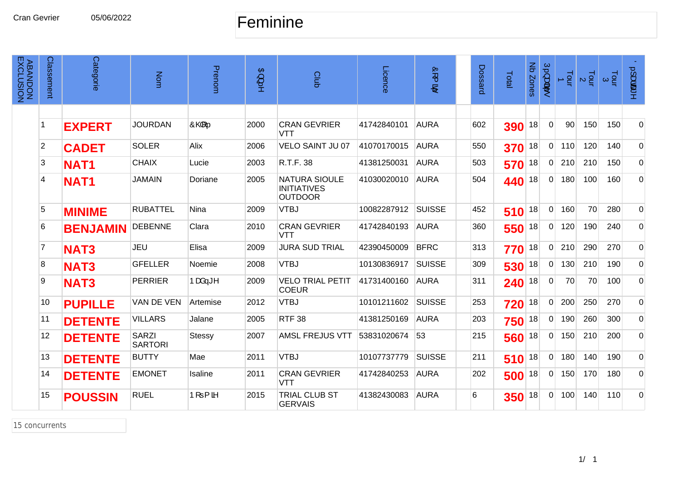#### Feminine

| <b>ABANDON<br/>ABANDON</b> | Classement     | Categorie       | Nom                            | Prenom                | $\mathbb{B}\}$<br>ţ. | Club                                                         | Licence     | ór (<br>$\mathbf{e}$ | Dossard | Total | Nb Zones | Ú.}a#ã.•     | $\frac{1}{2}$ | $\frac{1}{2}$ $\alpha$ | $\frac{1}{9}$ $\frac{3}{9}$ | $0.1$ ææ*      |
|----------------------------|----------------|-----------------|--------------------------------|-----------------------|----------------------|--------------------------------------------------------------|-------------|----------------------|---------|-------|----------|--------------|---------------|------------------------|-----------------------------|----------------|
|                            |                |                 |                                |                       |                      |                                                              |             |                      |         |       |          |              |               |                        |                             |                |
|                            |                | <b>EXPERT</b>   | <b>JOURDAN</b>                 | $\hat{O}$ of $\ldots$ | 2000                 | <b>CRAN GEVRIER</b><br>VTT                                   | 41742840101 | <b>AURA</b>          | 602     | 390   | 18       | $\mathbf 0$  | 90            | 150                    | 150                         | $\mathbf 0$    |
|                            | $\overline{2}$ | <b>CADET</b>    | <b>SOLER</b>                   | Alix                  | 2006                 | <b>VELO SAINT JU 07</b>                                      | 41070170015 | <b>AURA</b>          | 550     | 370   | 18       | $\Omega$     | 110           | 120                    | 140                         | 0              |
|                            | 3              | <b>NAT1</b>     | <b>CHAIX</b>                   | Lucie                 | 2003                 | R.T.F. 38                                                    | 41381250031 | <b>AURA</b>          | 503     | 570   | 18       | $\Omega$     | 210           | 210                    | 150                         | 0              |
|                            | 4              | <b>NAT1</b>     | <b>JAMAIN</b>                  | Doriane               | 2005                 | <b>NATURA SIOULE</b><br><b>INITIATIVES</b><br><b>OUTDOOR</b> | 41030020010 | <b>AURA</b>          | 504     | 440   | 18       | $\Omega$     | 180           | 100                    | 160                         | 0              |
|                            | 5              | <b>MINIME</b>   | <b>RUBATTEL</b>                | Nina                  | 2009                 | <b>VTBJ</b>                                                  | 10082287912 | <b>SUISSE</b>        | 452     | 510   | 18       | $\Omega$     | 160           | 70                     | 280                         | $\mathbf 0$    |
|                            | 6              | <b>BENJAMIN</b> | <b>DEBENNE</b>                 | Clara                 | 2010                 | <b>CRAN GEVRIER</b><br><b>VTT</b>                            | 41742840193 | <b>AURA</b>          | 360     | 550   | 18       | $\mathbf{0}$ | 120           | 190                    | 240                         | 0              |
|                            | 7              | <b>NAT3</b>     | JEU                            | Elisa                 | 2009                 | <b>JURA SUD TRIAL</b>                                        | 42390450009 | <b>BFRC</b>          | 313     | 770   | 18       | $\Omega$     | 210           | 290                    | 270                         | $\mathbf 0$    |
|                            | 8              | <b>NAT3</b>     | <b>GFELLER</b>                 | Noemie                | 2008                 | <b>VTBJ</b>                                                  | 10130836917 | <b>SUISSE</b>        | 309     | 530   | 18       | $\mathbf{0}$ | 130           | 210                    | 190                         | $\mathbf 0$    |
|                            | 9              | <b>NAT3</b>     | <b>PERRIER</b>                 | Þæå—≛^                | 2009                 | <b>VELO TRIAL PETIT</b><br><b>COEUR</b>                      | 41731400160 | <b>AURA</b>          | 311     | 240   | 18       | $\mathbf{0}$ | 70            | 70                     | 100                         | 0              |
|                            | 10             | <b>PUPILLE</b>  | VAN DE VEN                     | Artemise              | 2012                 | <b>VTBJ</b>                                                  | 10101211602 | <b>SUISSE</b>        | 253     | 720   | 18       | $\mathbf{0}$ | 200           | 250                    | 270                         | 0              |
|                            | 11             | <b>DETENTE</b>  | <b>VILLARS</b>                 | Jalane                | 2005                 | <b>RTF 38</b>                                                | 41381250169 | <b>AURA</b>          | 203     | 750   | 18       | $\mathbf{0}$ | 190           | 260                    | 300                         | $\overline{0}$ |
|                            | 12             | <b>DETENTE</b>  | <b>SARZI</b><br><b>SARTORI</b> | <b>Stessy</b>         | 2007                 | <b>AMSL FREJUS VTT</b>                                       | 53831020674 | 53                   | 215     | 560   | 18       | $\mathbf 0$  | 150           | 210                    | 200                         | 0              |
|                            | 13             | <b>DETENTE</b>  | <b>BUTTY</b>                   | Mae                   | 2011                 | <b>VTBJ</b>                                                  | 10107737779 | <b>SUISSE</b>        | 211     | 510   | 18       | $\Omega$     | 180           | 140                    | 190                         | 0              |
|                            | 14             | <b>DETENTE</b>  | <b>EMONET</b>                  | Isaline               | 2011                 | <b>CRAN GEVRIER</b><br>VTT                                   | 41742840253 | <b>AURA</b>          | 202     | 500   | 18       | 0            | 150           | 170                    | 180                         | 0              |
|                            | 15             | <b>POUSSIN</b>  | <b>RUEL</b>                    | $P[ = \{$ $\delta$    | 2015                 | TRIAL CLUB ST<br><b>GERVAIS</b>                              | 41382430083 | <b>AURA</b>          | 6       | 350   | 18       | $\mathbf{0}$ | 100           | 140                    | 110                         | 0              |